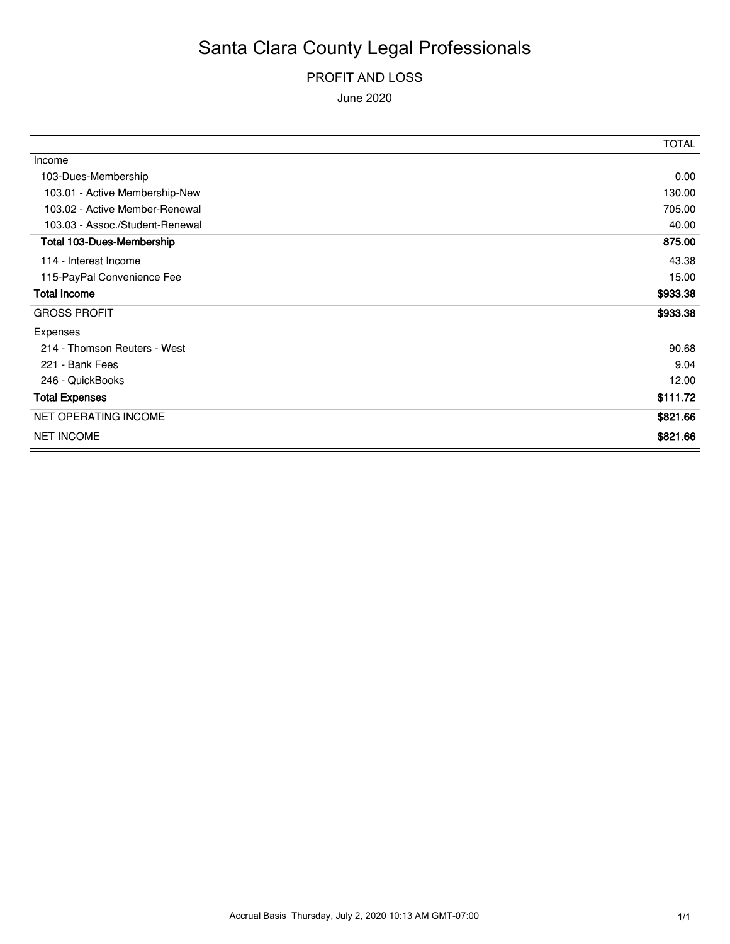### PROFIT AND LOSS

June 2020

|                                 | <b>TOTAL</b> |
|---------------------------------|--------------|
| Income                          |              |
| 103-Dues-Membership             | 0.00         |
| 103.01 - Active Membership-New  | 130.00       |
| 103.02 - Active Member-Renewal  | 705.00       |
| 103.03 - Assoc./Student-Renewal | 40.00        |
| Total 103-Dues-Membership       | 875.00       |
| 114 - Interest Income           | 43.38        |
| 115-PayPal Convenience Fee      | 15.00        |
| <b>Total Income</b>             | \$933.38     |
| <b>GROSS PROFIT</b>             | \$933.38     |
| Expenses                        |              |
| 214 - Thomson Reuters - West    | 90.68        |
| 221 - Bank Fees                 | 9.04         |
| 246 - QuickBooks                | 12.00        |
| <b>Total Expenses</b>           | \$111.72     |
| <b>NET OPERATING INCOME</b>     | \$821.66     |
| <b>NET INCOME</b>               | \$821.66     |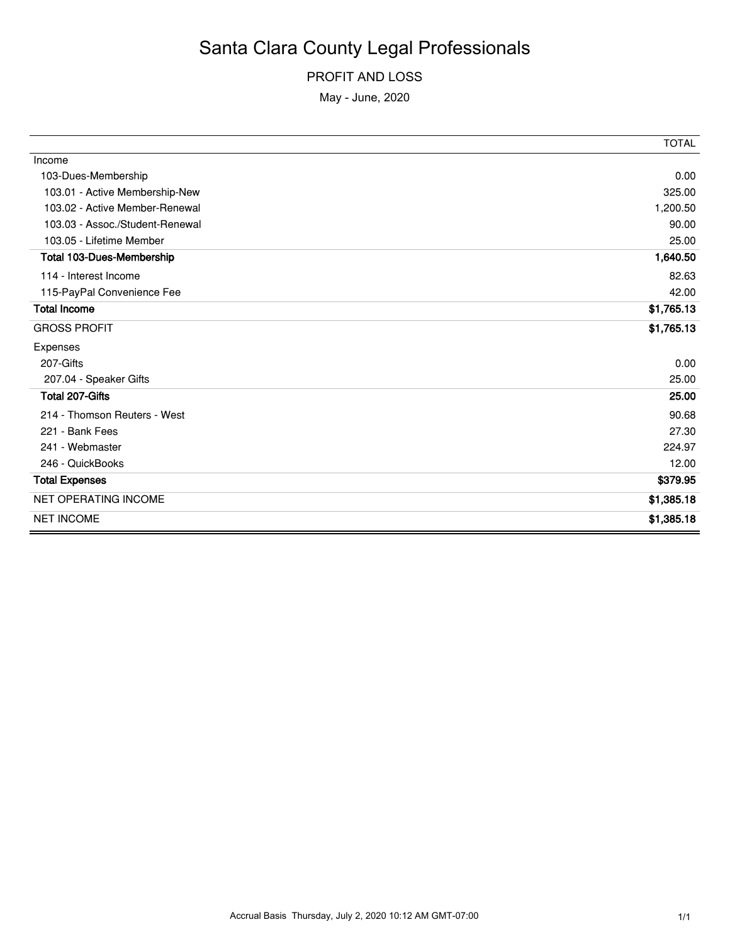#### PROFIT AND LOSS

May - June, 2020

|                                  | <b>TOTAL</b> |
|----------------------------------|--------------|
| Income                           |              |
| 103-Dues-Membership              | 0.00         |
| 103.01 - Active Membership-New   | 325.00       |
| 103.02 - Active Member-Renewal   | 1,200.50     |
| 103.03 - Assoc./Student-Renewal  | 90.00        |
| 103.05 - Lifetime Member         | 25.00        |
| <b>Total 103-Dues-Membership</b> | 1,640.50     |
| 114 - Interest Income            | 82.63        |
| 115-PayPal Convenience Fee       | 42.00        |
| <b>Total Income</b>              | \$1,765.13   |
| <b>GROSS PROFIT</b>              | \$1,765.13   |
| Expenses                         |              |
| 207-Gifts                        | 0.00         |
| 207.04 - Speaker Gifts           | 25.00        |
| Total 207-Gifts                  | 25.00        |
| 214 - Thomson Reuters - West     | 90.68        |
| 221 - Bank Fees                  | 27.30        |
| 241 - Webmaster                  | 224.97       |
| 246 - QuickBooks                 | 12.00        |
| <b>Total Expenses</b>            | \$379.95     |
| <b>NET OPERATING INCOME</b>      | \$1,385.18   |
| <b>NET INCOME</b>                | \$1,385.18   |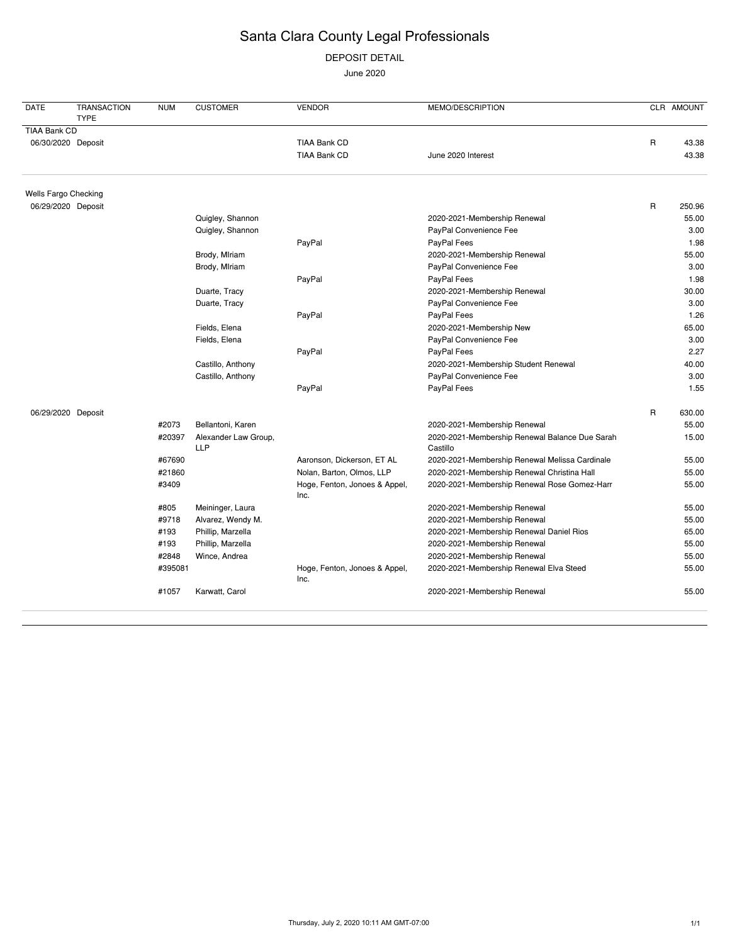DEPOSIT DETAIL

June 2020

| <b>DATE</b>  | <b>TRANSACTION</b><br><b>TYPE</b> | <b>NUM</b> | <b>CUSTOMER</b>                    | <b>VENDOR</b>                         | MEMO/DESCRIPTION                                           |             | CLR AMOUNT |
|--------------|-----------------------------------|------------|------------------------------------|---------------------------------------|------------------------------------------------------------|-------------|------------|
| TIAA Bank CD |                                   |            |                                    |                                       |                                                            |             |            |
|              | 06/30/2020 Deposit                |            |                                    | TIAA Bank CD                          |                                                            | $\mathsf R$ | 43.38      |
|              |                                   |            |                                    | <b>TIAA Bank CD</b>                   | June 2020 Interest                                         |             | 43.38      |
|              | Wells Fargo Checking              |            |                                    |                                       |                                                            |             |            |
|              | 06/29/2020 Deposit                |            |                                    |                                       |                                                            | $\mathsf R$ | 250.96     |
|              |                                   |            | Quigley, Shannon                   |                                       | 2020-2021-Membership Renewal                               |             | 55.00      |
|              |                                   |            | Quigley, Shannon                   |                                       | PayPal Convenience Fee                                     |             | 3.00       |
|              |                                   |            |                                    | PayPal                                | PayPal Fees                                                |             | 1.98       |
|              |                                   |            | Brody, Mlriam                      |                                       | 2020-2021-Membership Renewal                               |             | 55.00      |
|              |                                   |            | Brody, Mlriam                      |                                       | PayPal Convenience Fee                                     |             | 3.00       |
|              |                                   |            |                                    | PayPal                                | PayPal Fees                                                |             | 1.98       |
|              |                                   |            | Duarte, Tracy                      |                                       | 2020-2021-Membership Renewal                               |             | 30.00      |
|              |                                   |            | Duarte, Tracy                      |                                       | PayPal Convenience Fee                                     |             | 3.00       |
|              |                                   |            |                                    | PayPal                                | PayPal Fees                                                |             | 1.26       |
|              |                                   |            | Fields, Elena                      |                                       | 2020-2021-Membership New                                   |             | 65.00      |
|              |                                   |            | Fields, Elena                      |                                       | PayPal Convenience Fee                                     |             | 3.00       |
|              |                                   |            |                                    | PayPal                                | PayPal Fees                                                |             | 2.27       |
|              |                                   |            | Castillo, Anthony                  |                                       | 2020-2021-Membership Student Renewal                       |             | 40.00      |
|              |                                   |            | Castillo, Anthony                  |                                       | PayPal Convenience Fee                                     |             | 3.00       |
|              |                                   |            |                                    | PayPal                                | PayPal Fees                                                |             | 1.55       |
|              | 06/29/2020 Deposit                |            |                                    |                                       |                                                            | $\mathsf R$ | 630.00     |
|              |                                   | #2073      | Bellantoni, Karen                  |                                       | 2020-2021-Membership Renewal                               |             | 55.00      |
|              |                                   | #20397     | Alexander Law Group,<br><b>LLP</b> |                                       | 2020-2021-Membership Renewal Balance Due Sarah<br>Castillo |             | 15.00      |
|              |                                   | #67690     |                                    | Aaronson, Dickerson, ET AL            | 2020-2021-Membership Renewal Melissa Cardinale             |             | 55.00      |
|              |                                   | #21860     |                                    | Nolan, Barton, Olmos, LLP             | 2020-2021-Membership Renewal Christina Hall                |             | 55.00      |
|              |                                   | #3409      |                                    | Hoge, Fenton, Jonoes & Appel,<br>Inc. | 2020-2021-Membership Renewal Rose Gomez-Harr               |             | 55.00      |
|              |                                   | #805       | Meininger, Laura                   |                                       | 2020-2021-Membership Renewal                               |             | 55.00      |
|              |                                   | #9718      | Alvarez, Wendy M.                  |                                       | 2020-2021-Membership Renewal                               |             | 55.00      |
|              |                                   | #193       | Phillip, Marzella                  |                                       | 2020-2021-Membership Renewal Daniel Rios                   |             | 65.00      |
|              |                                   | #193       | Phillip, Marzella                  |                                       | 2020-2021-Membership Renewal                               |             | 55.00      |
|              |                                   | #2848      | Wince, Andrea                      |                                       | 2020-2021-Membership Renewal                               |             | 55.00      |
|              |                                   | #395081    |                                    | Hoge, Fenton, Jonoes & Appel,<br>Inc. | 2020-2021-Membership Renewal Elva Steed                    |             | 55.00      |
|              |                                   | #1057      | Karwatt, Carol                     |                                       | 2020-2021-Membership Renewal                               |             | 55.00      |
|              |                                   |            |                                    |                                       |                                                            |             |            |